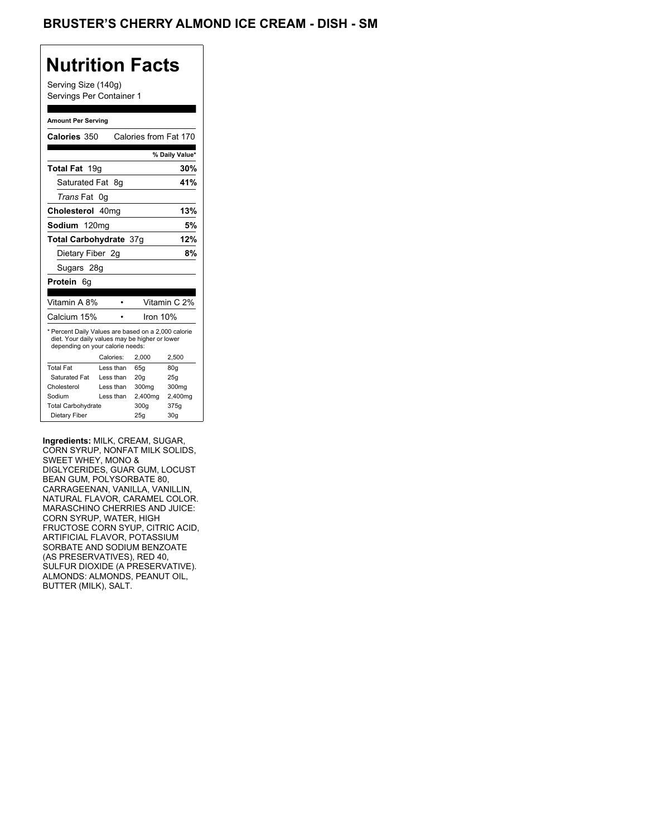## BRUSTER'S CHERRY ALMOND ICE CREAM - DISH - SM

## **Nutrition Facts**

Serving Size (140g) Servings Per Container 1

#### **Amount Per Serving**

| Calories 350                                                                                                                              |           | Calories from Fat 170 |                 |
|-------------------------------------------------------------------------------------------------------------------------------------------|-----------|-----------------------|-----------------|
|                                                                                                                                           |           |                       | % Daily Value*  |
| Total Fat 19g                                                                                                                             |           |                       | 30%             |
| Saturated Fat                                                                                                                             | - 8a      |                       | 41%             |
| <i>Trans</i> Fat                                                                                                                          | 0g        |                       |                 |
| Cholesterol 40mg                                                                                                                          |           |                       | 13%             |
| Sodium 120mg                                                                                                                              |           |                       | 5%              |
| <b>Total Carbohydrate 37g</b>                                                                                                             |           |                       | 12%             |
| Dietary Fiber 2q                                                                                                                          |           |                       | 8%              |
| Sugars 28g                                                                                                                                |           |                       |                 |
| <b>Protein</b> 6q                                                                                                                         |           |                       |                 |
|                                                                                                                                           |           |                       |                 |
| Vitamin A 8%                                                                                                                              |           |                       | Vitamin C 2%    |
| Calcium 15%                                                                                                                               |           | Iron $10%$            |                 |
| * Percent Daily Values are based on a 2,000 calorie<br>diet. Your daily values may be higher or lower<br>depending on your calorie needs: |           |                       |                 |
|                                                                                                                                           | Calories: | 2.000                 | 2,500           |
| <b>Total Fat</b>                                                                                                                          | Less than | 65q                   | 80q             |
| Saturated Fat                                                                                                                             | Less than | 20q                   | 25q             |
| Cholesterol                                                                                                                               | Less than | 300mg                 | 300mg           |
| Sodium                                                                                                                                    | Less than | 2,400mg               | 2,400mg         |
| <b>Total Carbohydrate</b>                                                                                                                 |           | 300g                  | 375g            |
| Dietary Fiber                                                                                                                             |           | 25q                   | 30 <sub>g</sub> |

**Ingredients:** MILK, CREAM, SUGAR, CORN SYRUP, NONFAT MILK SOLIDS, SWEET WHEY, MONO & DIGLYCERIDES, GUAR GUM, LOCUST BEAN GUM, POLYSORBATE 80, CARRAGEENAN, VANILLA, VANILLIN, NATURAL FLAVOR, CARAMEL COLOR. MARASCHINO CHERRIES AND JUICE: CORN SYRUP, WATER, HIGH FRUCTOSE CORN SYUP, CITRIC ACID, ARTIFICIAL FLAVOR, POTASSIUM SORBATE AND SODIUM BENZOATE (AS PRESERVATIVES), RED 40, SULFUR DIOXIDE (A PRESERVATIVE). ALMONDS: ALMONDS, PEANUT OIL, BUTTER (MILK), SALT.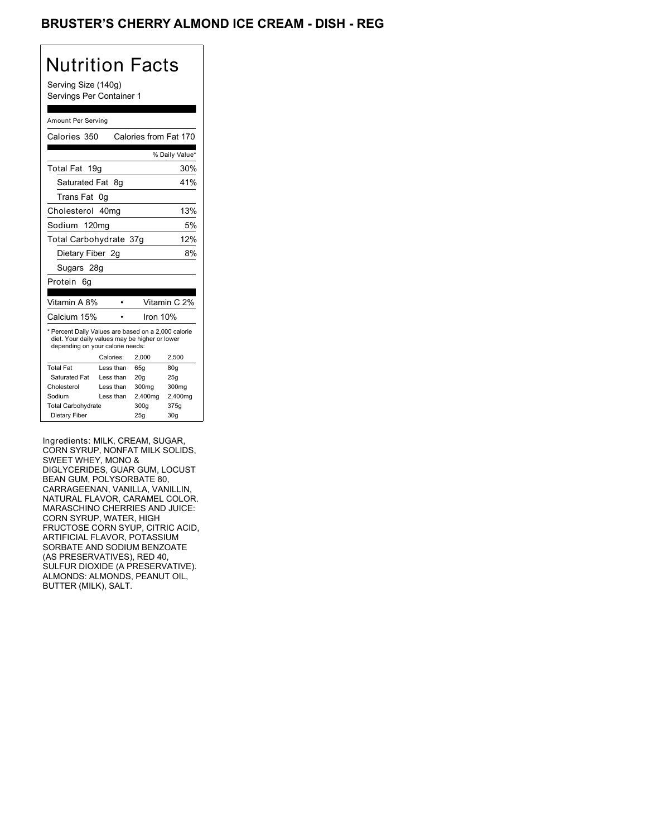## BRUSTER'S CHERRY ALMOND ICE CREAM - DISH - REG

## Nutrition Facts

Serving Size (140g) Servings Per Container 1

#### Amount Per Serving

| Calories 350                                                                                                                              |           | Calories from Fat 170 |                 |
|-------------------------------------------------------------------------------------------------------------------------------------------|-----------|-----------------------|-----------------|
|                                                                                                                                           |           |                       | % Daily Value*  |
| Total Fat 19g                                                                                                                             |           |                       | 30%             |
| Saturated Fat                                                                                                                             | 8g        |                       | 41%             |
| Trans Fat                                                                                                                                 | 0g        |                       |                 |
| Cholesterol 40mg                                                                                                                          |           |                       | 13%             |
| Sodium 120mg                                                                                                                              |           |                       | 5%              |
| Total Carbohydrate 37g                                                                                                                    |           |                       | 12%             |
| Dietary Fiber 2g                                                                                                                          |           |                       | 8%              |
| Sugars 28g                                                                                                                                |           |                       |                 |
| Protein<br>6q                                                                                                                             |           |                       |                 |
|                                                                                                                                           |           |                       |                 |
| Vitamin A 8%                                                                                                                              |           |                       | Vitamin C 2%    |
| Calcium 15%                                                                                                                               |           | Iron 10%              |                 |
| * Percent Daily Values are based on a 2,000 calorie<br>diet. Your daily values may be higher or lower<br>depending on your calorie needs: |           |                       |                 |
|                                                                                                                                           | Calories: | 2,000                 | 2,500           |
| <b>Total Fat</b>                                                                                                                          | Less than | 65q                   | 80q             |
| Saturated Fat                                                                                                                             | Less than | 20q                   | 25q             |
| Cholesterol                                                                                                                               | Less than | 300mg                 | 300mg           |
| Sodium                                                                                                                                    | Less than | 2,400mg               | 2,400mg         |
| <b>Total Carbohydrate</b>                                                                                                                 |           | 300g                  | 375g            |
| Dietary Fiber                                                                                                                             |           | 25q                   | 30 <sub>g</sub> |

Ingredients: MILK, CREAM, SUGAR, CORN SYRUP, NONFAT MILK SOLIDS, SWEET WHEY, MONO & DIGLYCERIDES, GUAR GUM, LOCUST BEAN GUM, POLYSORBATE 80, CARRAGEENAN, VANILLA, VANILLIN, NATURAL FLAVOR, CARAMEL COLOR. MARASCHINO CHERRIES AND JUICE: CORN SYRUP, WATER, HIGH FRUCTOSE CORN SYUP, CITRIC ACID, ARTIFICIAL FLAVOR, POTASSIUM SORBATE AND SODIUM BENZOATE (AS PRESERVATIVES), RED 40, SULFUR DIOXIDE (A PRESERVATIVE). ALMONDS: ALMONDS, PEANUT OIL, BUTTER (MILK), SALT.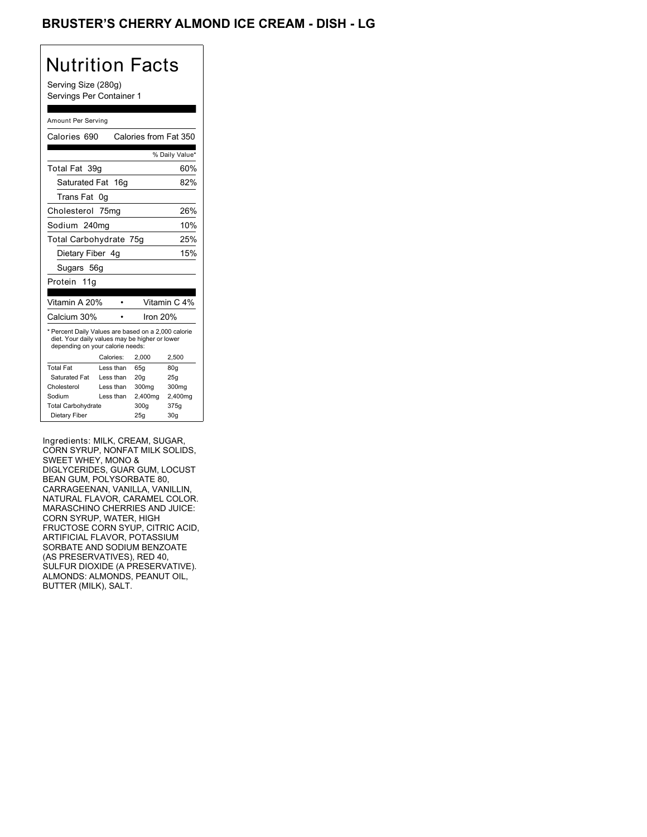## BRUSTER'S CHERRY ALMOND ICE CREAM - DISH - LG

## Nutrition Facts

Serving Size (280g) Servings Per Container 1

#### Amount Per Serving

| Calories 690                                                                                                                              |           | Calories from Fat 350 |                |
|-------------------------------------------------------------------------------------------------------------------------------------------|-----------|-----------------------|----------------|
|                                                                                                                                           |           |                       | % Daily Value* |
| Total Fat 39g                                                                                                                             |           |                       | 60%            |
| Saturated Fat 16g                                                                                                                         |           |                       | 82%            |
| Trans Fat                                                                                                                                 | 0g        |                       |                |
| Cholesterol 75mg                                                                                                                          |           |                       | 26%            |
| Sodium 240mg                                                                                                                              |           |                       | 10%            |
| Total Carbohydrate 75g                                                                                                                    |           |                       | 25%            |
| Dietary Fiber 4q                                                                                                                          |           |                       | 15%            |
| Sugars 56g                                                                                                                                |           |                       |                |
| Protein 11g                                                                                                                               |           |                       |                |
|                                                                                                                                           |           |                       |                |
| Vitamin A 20%                                                                                                                             |           |                       | Vitamin C 4%   |
| Calcium 30%                                                                                                                               |           | lron 20%              |                |
| * Percent Daily Values are based on a 2,000 calorie<br>diet. Your daily values may be higher or lower<br>depending on your calorie needs: |           |                       |                |
|                                                                                                                                           | Calories: | 2.000                 | 2,500          |
| <b>Total Fat</b>                                                                                                                          | Less than | 65q                   | 80q            |
| Saturated Fat                                                                                                                             | Less than | 20q                   | 25q            |
| Cholesterol                                                                                                                               | Less than | 300mg                 | 300mg          |
| Sodium                                                                                                                                    | Less than | 2,400mg               | 2,400mg        |
| <b>Total Carbohydrate</b>                                                                                                                 |           | 300g                  | 375g           |
| Dietary Fiber                                                                                                                             |           | 25q                   | 30q            |

Ingredients: MILK, CREAM, SUGAR, CORN SYRUP, NONFAT MILK SOLIDS, SWEET WHEY, MONO & DIGLYCERIDES, GUAR GUM, LOCUST BEAN GUM, POLYSORBATE 80, CARRAGEENAN, VANILLA, VANILLIN, NATURAL FLAVOR, CARAMEL COLOR. MARASCHINO CHERRIES AND JUICE: CORN SYRUP, WATER, HIGH FRUCTOSE CORN SYUP, CITRIC ACID, ARTIFICIAL FLAVOR, POTASSIUM SORBATE AND SODIUM BENZOATE (AS PRESERVATIVES), RED 40, SULFUR DIOXIDE (A PRESERVATIVE). ALMONDS: ALMONDS, PEANUT OIL, BUTTER (MILK), SALT.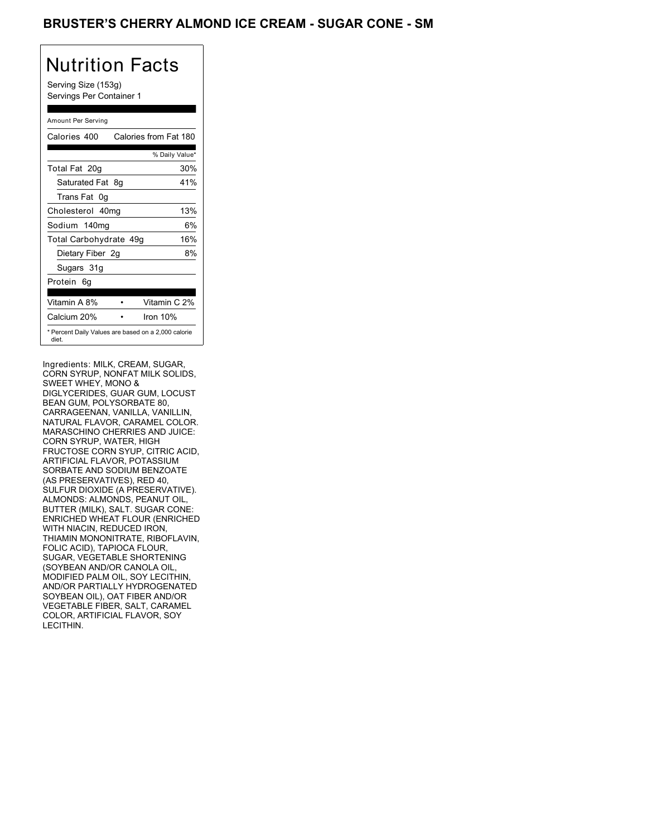### BRUSTER'S CHERRY ALMOND ICE CREAM - SUGAR CONE - SM

## Nutrition Facts

Serving Size (153g) Servings Per Container 1

### Amount Per Serving

| Calories 400           | Calories from Fat 180                               |
|------------------------|-----------------------------------------------------|
|                        | % Daily Value*                                      |
| Total Fat 20g          | 30%                                                 |
| Saturated Fat 8g       | 41%                                                 |
| Trans Fat 0q           |                                                     |
| Cholesterol 40mg       | 13%                                                 |
| Sodium 140mg           | 6%                                                  |
| Total Carbohydrate 49g | 16%                                                 |
| Dietary Fiber 2g       | 8%                                                  |
| Sugars 31g             |                                                     |
| Protein 6g             |                                                     |
| Vitamin A 8%           | Vitamin C 2%                                        |
| Calcium 20%            | Iron 10%                                            |
| diet.                  | * Percent Daily Values are based on a 2,000 calorie |

Ingredients: MILK, CREAM, SUGAR, CORN SYRUP, NONFAT MILK SOLIDS, SWEET WHEY, MONO & DIGLYCERIDES, GUAR GUM, LOCUST BEAN GUM, POLYSORBATE 80, CARRAGEENAN, VANILLA, VANILLIN, NATURAL FLAVOR, CARAMEL COLOR. MARASCHINO CHERRIES AND JUICE: CORN SYRUP, WATER, HIGH FRUCTOSE CORN SYUP, CITRIC ACID, ARTIFICIAL FLAVOR, POTASSIUM SORBATE AND SODIUM BENZOATE (AS PRESERVATIVES), RED 40, SULFUR DIOXIDE (A PRESERVATIVE). ALMONDS: ALMONDS, PEANUT OIL, BUTTER (MILK), SALT. SUGAR CONE: ENRICHED WHEAT FLOUR (ENRICHED WITH NIACIN, REDUCED IRON, THIAMIN MONONITRATE, RIBOFLAVIN, FOLIC ACID), TAPIOCA FLOUR, SUGAR, VEGETABLE SHORTENING (SOYBEAN AND/OR CANOLA OIL, MODIFIED PALM OIL, SOY LECITHIN, AND/OR PARTIALLY HYDROGENATED SOYBEAN OIL), OAT FIBER AND/OR VEGETABLE FIBER, SALT, CARAMEL COLOR, ARTIFICIAL FLAVOR, SOY LECITHIN.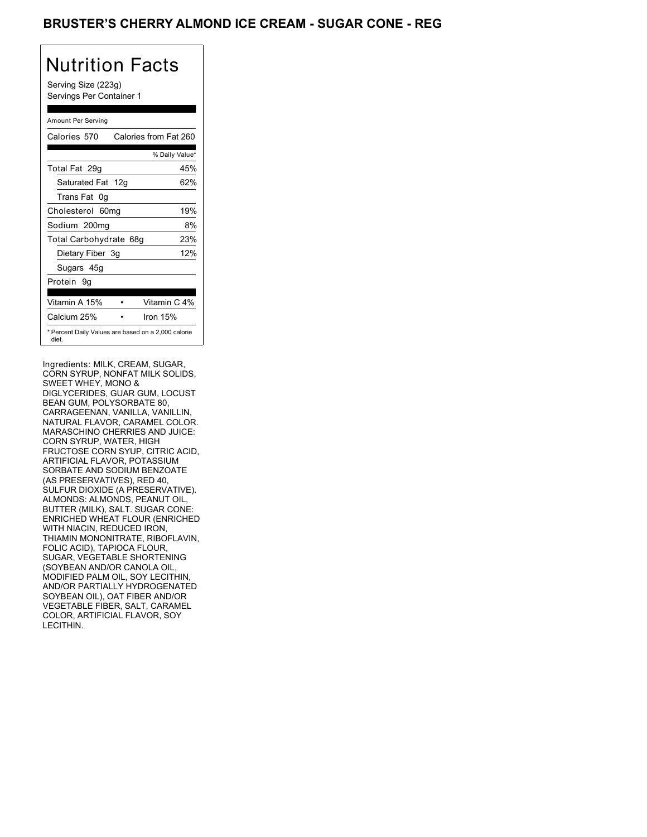### BRUSTER'S CHERRY ALMOND ICE CREAM - SUGAR CONE - REG

## Nutrition Facts

Serving Size (223g) Servings Per Container 1

#### Amount Per Serving

| Calories 570                                                 | Calories from Fat 260 |
|--------------------------------------------------------------|-----------------------|
|                                                              | % Daily Value*        |
| Total Fat 29g                                                | 45%                   |
| Saturated Fat 12g                                            | 62%                   |
| Trans Fat 0q                                                 |                       |
| Cholesterol 60mg                                             | 19%                   |
| Sodium 200mg                                                 | 8%                    |
| Total Carbohydrate 68g                                       | 23%                   |
| Dietary Fiber 3g                                             | 12%                   |
| Sugars 45g                                                   |                       |
| Protein 9q                                                   |                       |
| Vitamin A 15%                                                | Vitamin C 4%          |
| Calcium 25%                                                  | Iron $15%$            |
| * Percent Daily Values are based on a 2,000 calorie<br>diet. |                       |

Ingredients: MILK, CREAM, SUGAR, CORN SYRUP, NONFAT MILK SOLIDS, SWEET WHEY, MONO & DIGLYCERIDES, GUAR GUM, LOCUST BEAN GUM, POLYSORBATE 80, CARRAGEENAN, VANILLA, VANILLIN, NATURAL FLAVOR, CARAMEL COLOR. MARASCHINO CHERRIES AND JUICE: CORN SYRUP, WATER, HIGH FRUCTOSE CORN SYUP, CITRIC ACID, ARTIFICIAL FLAVOR, POTASSIUM SORBATE AND SODIUM BENZOATE (AS PRESERVATIVES), RED 40, SULFUR DIOXIDE (A PRESERVATIVE). ALMONDS: ALMONDS, PEANUT OIL, BUTTER (MILK), SALT. SUGAR CONE: ENRICHED WHEAT FLOUR (ENRICHED WITH NIACIN, REDUCED IRON, THIAMIN MONONITRATE, RIBOFLAVIN, FOLIC ACID), TAPIOCA FLOUR, SUGAR, VEGETABLE SHORTENING (SOYBEAN AND/OR CANOLA OIL, MODIFIED PALM OIL, SOY LECITHIN, AND/OR PARTIALLY HYDROGENATED SOYBEAN OIL), OAT FIBER AND/OR VEGETABLE FIBER, SALT, CARAMEL COLOR, ARTIFICIAL FLAVOR, SOY LECITHIN.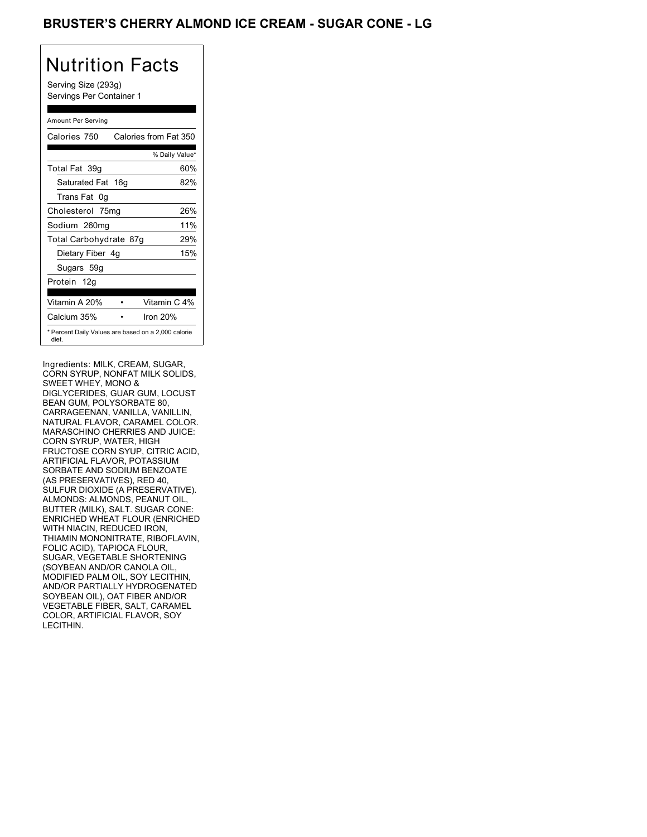## BRUSTER'S CHERRY ALMOND ICE CREAM - SUGAR CONE - LG

# Nutrition Facts

Serving Size (293g) Servings Per Container 1

### Amount Per Serving

| Calories 750           | Calories from Fat 350                               |
|------------------------|-----------------------------------------------------|
|                        | % Daily Value*                                      |
| Total Fat 39q          | 60%                                                 |
| Saturated Fat 16g      | 82%                                                 |
| Trans Fat 0q           |                                                     |
| Cholesterol 75mg       | 26%                                                 |
| Sodium 260mg           | 11%                                                 |
| Total Carbohydrate 87g | 29%                                                 |
| Dietary Fiber 4g       | 15%                                                 |
| Sugars 59g             |                                                     |
| Protein 12g            |                                                     |
| Vitamin A 20%          | Vitamin C 4%                                        |
| Calcium 35%            | Iron $20%$                                          |
| diet.                  | * Percent Daily Values are based on a 2,000 calorie |

Ingredients: MILK, CREAM, SUGAR, CORN SYRUP, NONFAT MILK SOLIDS, SWEET WHEY, MONO & DIGLYCERIDES, GUAR GUM, LOCUST BEAN GUM, POLYSORBATE 80, CARRAGEENAN, VANILLA, VANILLIN, NATURAL FLAVOR, CARAMEL COLOR. MARASCHINO CHERRIES AND JUICE: CORN SYRUP, WATER, HIGH FRUCTOSE CORN SYUP, CITRIC ACID, ARTIFICIAL FLAVOR, POTASSIUM SORBATE AND SODIUM BENZOATE (AS PRESERVATIVES), RED 40, SULFUR DIOXIDE (A PRESERVATIVE). ALMONDS: ALMONDS, PEANUT OIL, BUTTER (MILK), SALT. SUGAR CONE: ENRICHED WHEAT FLOUR (ENRICHED WITH NIACIN, REDUCED IRON, THIAMIN MONONITRATE, RIBOFLAVIN, FOLIC ACID), TAPIOCA FLOUR, SUGAR, VEGETABLE SHORTENING (SOYBEAN AND/OR CANOLA OIL, MODIFIED PALM OIL, SOY LECITHIN, AND/OR PARTIALLY HYDROGENATED SOYBEAN OIL), OAT FIBER AND/OR VEGETABLE FIBER, SALT, CARAMEL COLOR, ARTIFICIAL FLAVOR, SOY LECITHIN.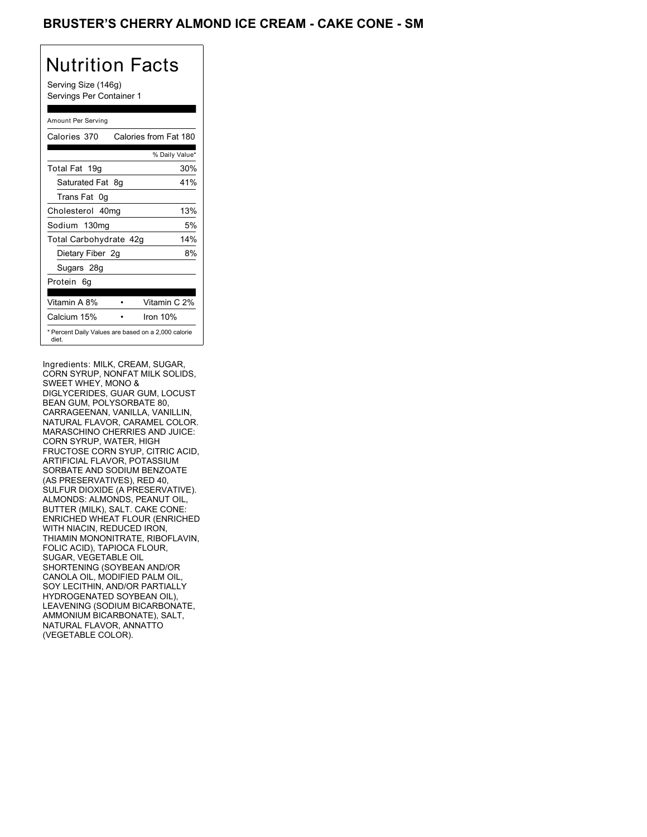### BRUSTER'S CHERRY ALMOND ICE CREAM - CAKE CONE - SM

## Nutrition Facts

Serving Size (146g) Servings Per Container 1

### Amount Per Serving

| Calories 370           | Calories from Fat 180                               |
|------------------------|-----------------------------------------------------|
|                        | % Daily Value*                                      |
| Total Fat 19g          | 30%                                                 |
| Saturated Fat 8g       | 41%                                                 |
| Trans Fat 0q           |                                                     |
| Cholesterol 40mg       | 13%                                                 |
| Sodium 130mg           | 5%                                                  |
| Total Carbohydrate 42g | 14%                                                 |
| Dietary Fiber 2g       | 8%                                                  |
| Sugars 28g             |                                                     |
| Protein 6q             |                                                     |
| Vitamin A 8%           | Vitamin C 2%                                        |
| Calcium 15%            | Iron 10%                                            |
| diet.                  | * Percent Daily Values are based on a 2,000 calorie |

Ingredients: MILK, CREAM, SUGAR, CORN SYRUP, NONFAT MILK SOLIDS, SWEET WHEY, MONO & DIGLYCERIDES, GUAR GUM, LOCUST BEAN GUM, POLYSORBATE 80, CARRAGEENAN, VANILLA, VANILLIN, NATURAL FLAVOR, CARAMEL COLOR. MARASCHINO CHERRIES AND JUICE: CORN SYRUP, WATER, HIGH FRUCTOSE CORN SYUP, CITRIC ACID, ARTIFICIAL FLAVOR, POTASSIUM SORBATE AND SODIUM BENZOATE (AS PRESERVATIVES), RED 40, SULFUR DIOXIDE (A PRESERVATIVE). ALMONDS: ALMONDS, PEANUT OIL, BUTTER (MILK), SALT. CAKE CONE: ENRICHED WHEAT FLOUR (ENRICHED WITH NIACIN, REDUCED IRON, THIAMIN MONONITRATE, RIBOFLAVIN, FOLIC ACID), TAPIOCA FLOUR, SUGAR, VEGETABLE OIL SHORTENING (SOYBEAN AND/OR CANOLA OIL, MODIFIED PALM OIL, SOY LECITHIN, AND/OR PARTIALLY HYDROGENATED SOYBEAN OIL), LEAVENING (SODIUM BICARBONATE, AMMONIUM BICARBONATE), SALT, NATURAL FLAVOR, ANNATTO (VEGETABLE COLOR).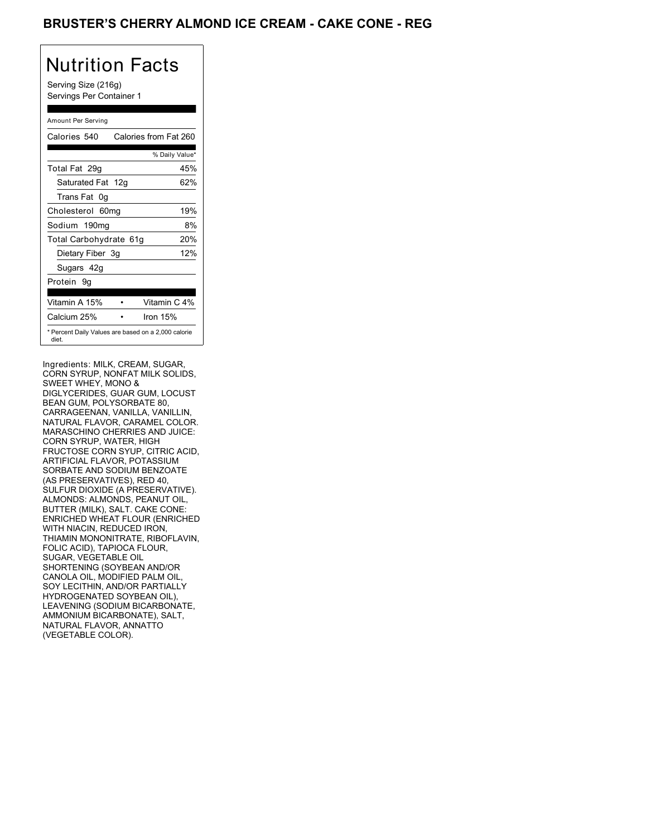### BRUSTER'S CHERRY ALMOND ICE CREAM - CAKE CONE - REG

## Nutrition Facts

Serving Size (216g) Servings Per Container 1

### Amount Per Serving

| Calories 540                                                 | Calories from Fat 260 |
|--------------------------------------------------------------|-----------------------|
|                                                              | % Daily Value*        |
| Total Fat 29g                                                | 45%                   |
| Saturated Fat 12g                                            | 62%                   |
| Trans Fat 0q                                                 |                       |
| Cholesterol 60mg                                             | 19%                   |
| Sodium 190mg                                                 | 8%                    |
| Total Carbohydrate 61g                                       | 20%                   |
| Dietary Fiber 3g                                             | 12%                   |
| Sugars 42g                                                   |                       |
| Protein 9q                                                   |                       |
| Vitamin A 15%                                                | Vitamin C 4%          |
| Calcium 25%                                                  | Iron $15%$            |
| * Percent Daily Values are based on a 2,000 calorie<br>diet. |                       |

Ingredients: MILK, CREAM, SUGAR, CORN SYRUP, NONFAT MILK SOLIDS, SWEET WHEY, MONO & DIGLYCERIDES, GUAR GUM, LOCUST BEAN GUM, POLYSORBATE 80, CARRAGEENAN, VANILLA, VANILLIN, NATURAL FLAVOR, CARAMEL COLOR. MARASCHINO CHERRIES AND JUICE: CORN SYRUP, WATER, HIGH FRUCTOSE CORN SYUP, CITRIC ACID, ARTIFICIAL FLAVOR, POTASSIUM SORBATE AND SODIUM BENZOATE (AS PRESERVATIVES), RED 40, SULFUR DIOXIDE (A PRESERVATIVE). ALMONDS: ALMONDS, PEANUT OIL, BUTTER (MILK), SALT. CAKE CONE: ENRICHED WHEAT FLOUR (ENRICHED WITH NIACIN, REDUCED IRON, THIAMIN MONONITRATE, RIBOFLAVIN, FOLIC ACID), TAPIOCA FLOUR, SUGAR, VEGETABLE OIL SHORTENING (SOYBEAN AND/OR CANOLA OIL, MODIFIED PALM OIL, SOY LECITHIN, AND/OR PARTIALLY HYDROGENATED SOYBEAN OIL), LEAVENING (SODIUM BICARBONATE, AMMONIUM BICARBONATE), SALT, NATURAL FLAVOR, ANNATTO (VEGETABLE COLOR).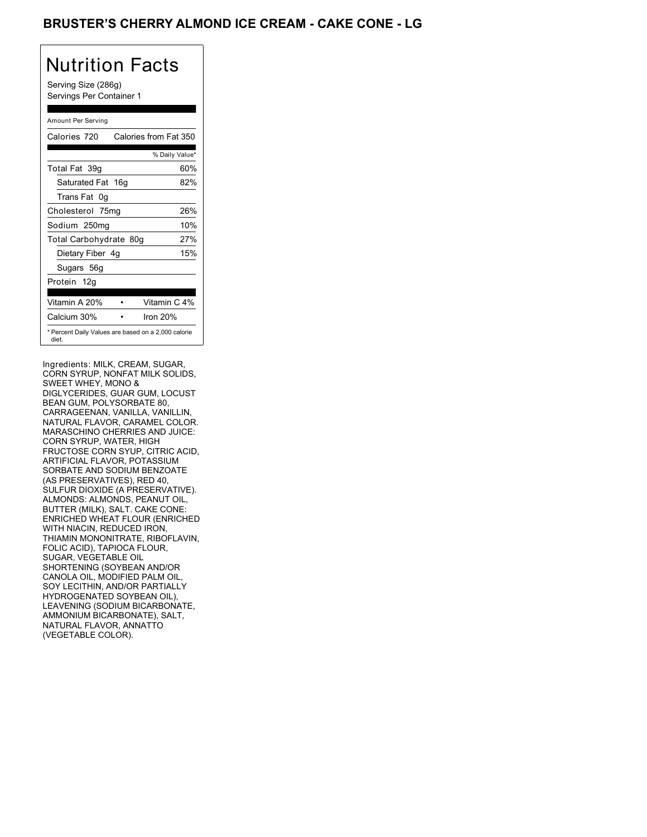## BRUSTER'S CHERRY ALMOND ICE CREAM - CAKE CONE - LG

## Nutrition Facts

Serving Size (286g) Servings Per Container 1

#### Amount Per Serving

| Calories 720           | Calories from Fat 350                               |
|------------------------|-----------------------------------------------------|
|                        | % Daily Value*                                      |
| Total Fat 39g          | 60%                                                 |
| Saturated Fat 16g      | 82%                                                 |
| Trans Fat 0q           |                                                     |
| Cholesterol 75mg       | 26%                                                 |
| Sodium 250mg           | 10%                                                 |
| Total Carbohydrate 80g | 27%                                                 |
| Dietary Fiber 4g       | 15%                                                 |
| Sugars 56g             |                                                     |
| Protein 12g            |                                                     |
| Vitamin A 20%          | Vitamin C 4%                                        |
| Calcium 30%            | Iron $20%$                                          |
| diet.                  | * Percent Daily Values are based on a 2,000 calorie |

Ingredients: MILK, CREAM, SUGAR, CORN SYRUP, NONFAT MILK SOLIDS, SWEET WHEY, MONO & DIGLYCERIDES, GUAR GUM, LOCUST BEAN GUM, POLYSORBATE 80, CARRAGEENAN, VANILLA, VANILLIN, NATURAL FLAVOR, CARAMEL COLOR. MARASCHINO CHERRIES AND JUICE: CORN SYRUP, WATER, HIGH FRUCTOSE CORN SYUP, CITRIC ACID, ARTIFICIAL FLAVOR, POTASSIUM SORBATE AND SODIUM BENZOATE (AS PRESERVATIVES), RED 40, SULFUR DIOXIDE (A PRESERVATIVE). ALMONDS: ALMONDS, PEANUT OIL, BUTTER (MILK), SALT. CAKE CONE: ENRICHED WHEAT FLOUR (ENRICHED WITH NIACIN, REDUCED IRON, THIAMIN MONONITRATE, RIBOFLAVIN, FOLIC ACID), TAPIOCA FLOUR, SUGAR, VEGETABLE OIL SHORTENING (SOYBEAN AND/OR CANOLA OIL, MODIFIED PALM OIL, SOY LECITHIN, AND/OR PARTIALLY HYDROGENATED SOYBEAN OIL), LEAVENING (SODIUM BICARBONATE, AMMONIUM BICARBONATE), SALT, NATURAL FLAVOR, ANNATTO (VEGETABLE COLOR).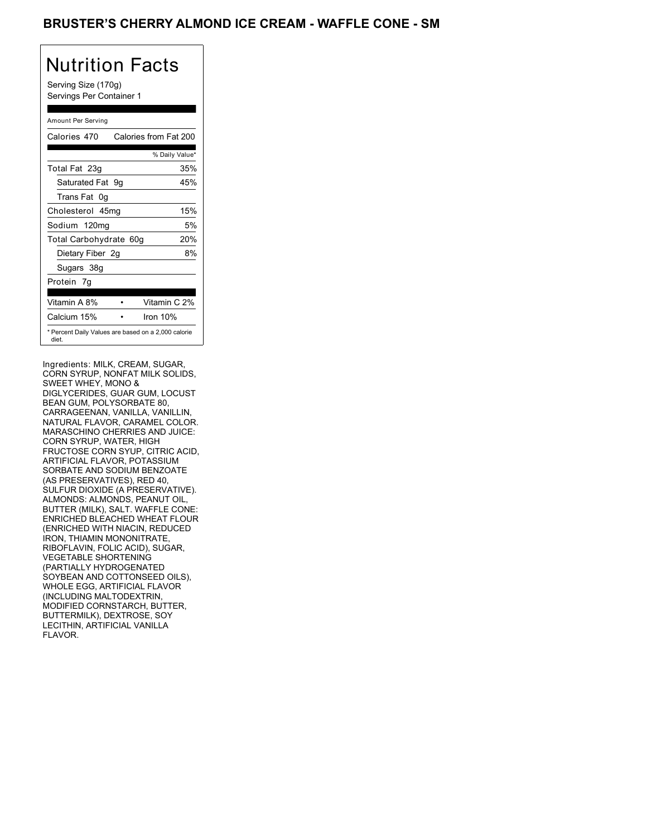### BRUSTER'S CHERRY ALMOND ICE CREAM - WAFFLE CONE - SM

## Nutrition Facts

Serving Size (170g) Servings Per Container 1

### Amount Per Serving

| Calories 470                                                 |  | Calories from Fat 200 |
|--------------------------------------------------------------|--|-----------------------|
|                                                              |  | % Daily Value*        |
| Total Fat 23g                                                |  | 35%                   |
| Saturated Fat 9g                                             |  | 45%                   |
| Trans Fat 0q                                                 |  |                       |
| Cholesterol 45mg                                             |  | 15%                   |
| Sodium 120mg                                                 |  | 5%                    |
| Total Carbohydrate 60g                                       |  | 20%                   |
| Dietary Fiber 2g                                             |  | 8%                    |
| Sugars 38g                                                   |  |                       |
| Protein 7q                                                   |  |                       |
| Vitamin A 8%                                                 |  | Vitamin C 2%          |
| Calcium 15%                                                  |  | Iron $10%$            |
| * Percent Daily Values are based on a 2,000 calorie<br>diet. |  |                       |

Ingredients: MILK, CREAM, SUGAR, CORN SYRUP, NONFAT MILK SOLIDS, SWEET WHEY, MONO & DIGLYCERIDES, GUAR GUM, LOCUST BEAN GUM, POLYSORBATE 80, CARRAGEENAN, VANILLA, VANILLIN, NATURAL FLAVOR, CARAMEL COLOR. MARASCHINO CHERRIES AND JUICE: CORN SYRUP, WATER, HIGH FRUCTOSE CORN SYUP, CITRIC ACID, ARTIFICIAL FLAVOR, POTASSIUM SORBATE AND SODIUM BENZOATE (AS PRESERVATIVES), RED 40, SULFUR DIOXIDE (A PRESERVATIVE). ALMONDS: ALMONDS, PEANUT OIL, BUTTER (MILK), SALT. WAFFLE CONE: ENRICHED BLEACHED WHEAT FLOUR (ENRICHED WITH NIACIN, REDUCED IRON, THIAMIN MONONITRATE, RIBOFLAVIN, FOLIC ACID), SUGAR, VEGETABLE SHORTENING (PARTIALLY HYDROGENATED SOYBEAN AND COTTONSEED OILS), WHOLE EGG, ARTIFICIAL FLAVOR (INCLUDING MALTODEXTRIN, MODIFIED CORNSTARCH, BUTTER, BUTTERMILK), DEXTROSE, SOY LECITHIN, ARTIFICIAL VANILLA FLAVOR.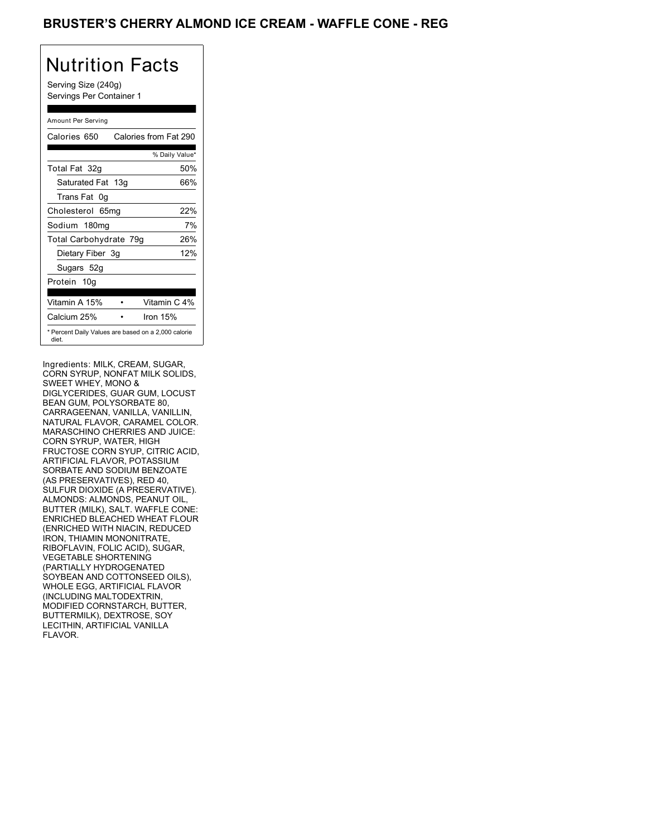### BRUSTER'S CHERRY ALMOND ICE CREAM - WAFFLE CONE - REG

## Nutrition Facts

Serving Size (240g) Servings Per Container 1

#### Amount Per Serving

| Calories 650                                                 | Calories from Fat 290 |
|--------------------------------------------------------------|-----------------------|
|                                                              | % Daily Value*        |
| Total Fat 32g                                                | 50%                   |
| Saturated Fat 13g                                            | 66%                   |
| Trans Fat 0q                                                 |                       |
| Cholesterol 65mg                                             | 22%                   |
| Sodium 180mg                                                 | 7%                    |
| Total Carbohydrate 79g                                       | 26%                   |
| Dietary Fiber 3g                                             | 12%                   |
| Sugars 52g                                                   |                       |
| Protein 10g                                                  |                       |
| Vitamin A 15%                                                | Vitamin C 4%          |
| Calcium 25%                                                  | Iron $15%$            |
| * Percent Daily Values are based on a 2,000 calorie<br>diet. |                       |

Ingredients: MILK, CREAM, SUGAR, CORN SYRUP, NONFAT MILK SOLIDS, SWEET WHEY, MONO & DIGLYCERIDES, GUAR GUM, LOCUST BEAN GUM, POLYSORBATE 80, CARRAGEENAN, VANILLA, VANILLIN, NATURAL FLAVOR, CARAMEL COLOR. MARASCHINO CHERRIES AND JUICE: CORN SYRUP, WATER, HIGH FRUCTOSE CORN SYUP, CITRIC ACID, ARTIFICIAL FLAVOR, POTASSIUM SORBATE AND SODIUM BENZOATE (AS PRESERVATIVES), RED 40, SULFUR DIOXIDE (A PRESERVATIVE). ALMONDS: ALMONDS, PEANUT OIL, BUTTER (MILK), SALT. WAFFLE CONE: ENRICHED BLEACHED WHEAT FLOUR (ENRICHED WITH NIACIN, REDUCED IRON, THIAMIN MONONITRATE, RIBOFLAVIN, FOLIC ACID), SUGAR, VEGETABLE SHORTENING (PARTIALLY HYDROGENATED SOYBEAN AND COTTONSEED OILS), WHOLE EGG, ARTIFICIAL FLAVOR (INCLUDING MALTODEXTRIN, MODIFIED CORNSTARCH, BUTTER, BUTTERMILK), DEXTROSE, SOY LECITHIN, ARTIFICIAL VANILLA FLAVOR.